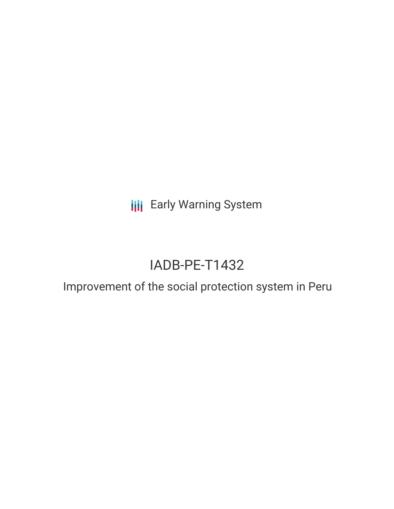**III** Early Warning System

# IADB-PE-T1432

# Improvement of the social protection system in Peru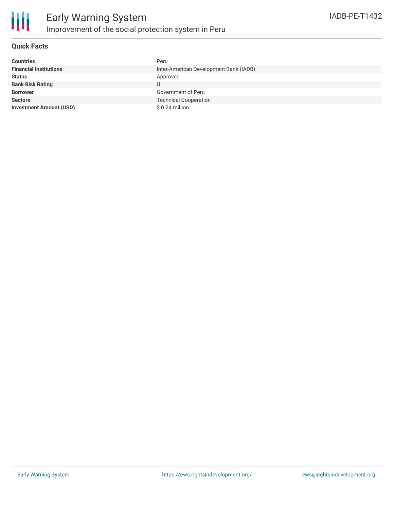

### **Quick Facts**

| <b>Countries</b>               | Peru                                   |
|--------------------------------|----------------------------------------|
| <b>Financial Institutions</b>  | Inter-American Development Bank (IADB) |
| <b>Status</b>                  | Approved                               |
| <b>Bank Risk Rating</b>        |                                        |
| <b>Borrower</b>                | Government of Peru                     |
| <b>Sectors</b>                 | <b>Technical Cooperation</b>           |
| <b>Investment Amount (USD)</b> | $$0.24$ million                        |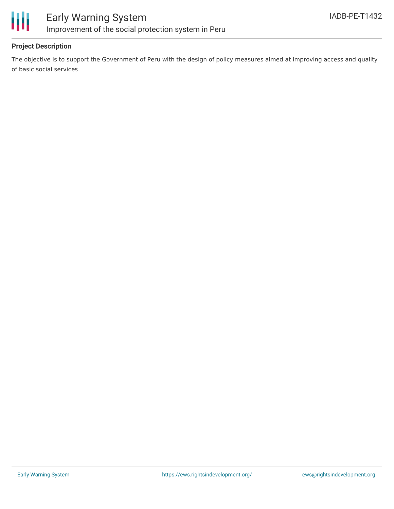

### **Project Description**

The objective is to support the Government of Peru with the design of policy measures aimed at improving access and quality of basic social services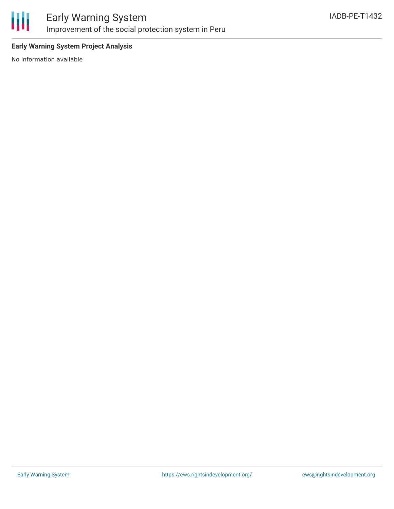

## Early Warning System Improvement of the social protection system in Peru

### **Early Warning System Project Analysis**

No information available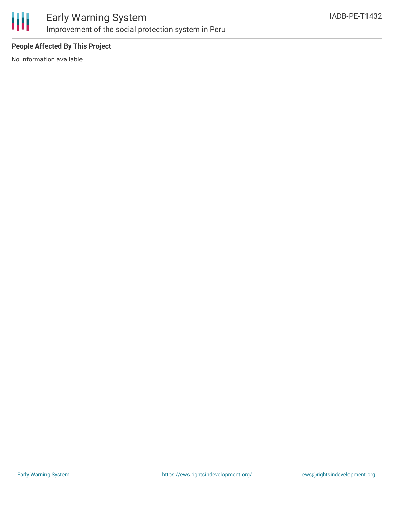

## Early Warning System Improvement of the social protection system in Peru

### **People Affected By This Project**

No information available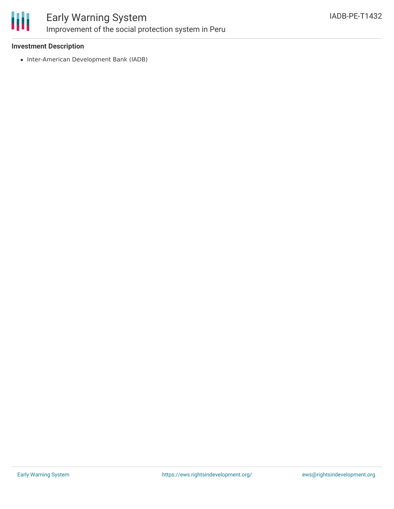

## Early Warning System Improvement of the social protection system in Peru

#### **Investment Description**

• Inter-American Development Bank (IADB)